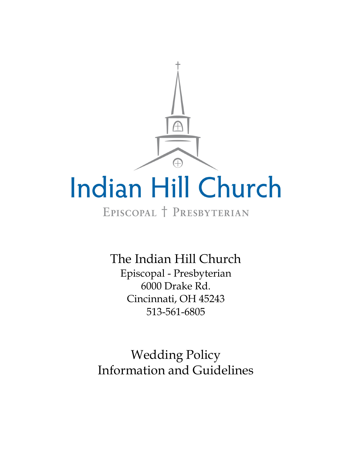

# EPISCOPAL T PRESBYTERIAN

The Indian Hill Church Episcopal - Presbyterian 6000 Drake Rd. Cincinnati, OH 45243 513-561-6805

Wedding Policy Information and Guidelines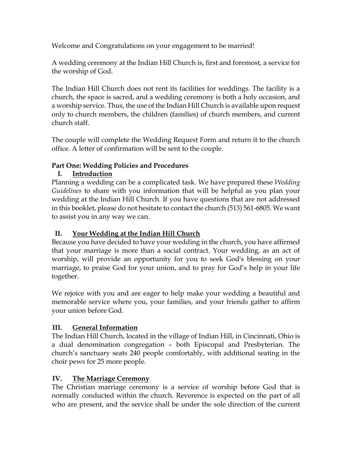Welcome and Congratulations on your engagement to be married!

A wedding ceremony at the Indian Hill Church is, first and foremost, a service for the worship of God.

The Indian Hill Church does not rent its facilities for weddings. The facility is a church, the space is sacred, and a wedding ceremony is both a holy occasion, and a worship service. Thus, the use of the Indian Hill Church is available upon request only to church members, the children (families) of church members, and current church staff.

The couple will complete the Wedding Request Form and return it to the church office. A letter of confirmation will be sent to the couple.

# **Part One: Wedding Policies and Procedures**

# **I. Introduction**

Planning a wedding can be a complicated task. We have prepared these *Wedding Guidelines* to share with you information that will be helpful as you plan your wedding at the Indian Hill Church. If you have questions that are not addressed in this booklet, please do not hesitate to contact the church (513) 561-6805. We want to assist you in any way we can.

# **II. Your Wedding at the Indian Hill Church**

Because you have decided to have your wedding in the church, you have affirmed that your marriage is more than a social contract. Your wedding, as an act of worship, will provide an opportunity for you to seek God's blessing on your marriage, to praise God for your union, and to pray for God's help in your life together.

We rejoice with you and are eager to help make your wedding a beautiful and memorable service where you, your families, and your friends gather to affirm your union before God.

# **III. General Information**

The Indian Hill Church, located in the village of Indian Hill, in Cincinnati, Ohio is a dual denomination congregation – both Episcopal and Presbyterian. The church's sanctuary seats 240 people comfortably, with additional seating in the choir pews for 25 more people.

# **IV. The Marriage Ceremony**

The Christian marriage ceremony is a service of worship before God that is normally conducted within the church. Reverence is expected on the part of all who are present, and the service shall be under the sole direction of the current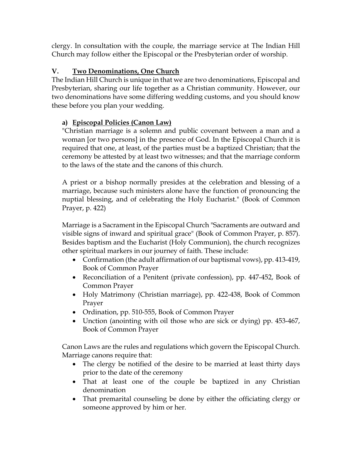clergy. In consultation with the couple, the marriage service at The Indian Hill Church may follow either the Episcopal or the Presbyterian order of worship.

# **V. Two Denominations, One Church**

The Indian Hill Church is unique in that we are two denominations, Episcopal and Presbyterian, sharing our life together as a Christian community. However, our two denominations have some differing wedding customs, and you should know these before you plan your wedding.

# **a) Episcopal Policies (Canon Law)**

"Christian marriage is a solemn and public covenant between a man and a woman [or two persons] in the presence of God. In the Episcopal Church it is required that one, at least, of the parties must be a baptized Christian; that the ceremony be attested by at least two witnesses; and that the marriage conform to the laws of the state and the canons of this church.

A priest or a bishop normally presides at the celebration and blessing of a marriage, because such ministers alone have the function of pronouncing the nuptial blessing, and of celebrating the Holy Eucharist." (Book of Common Prayer, p. 422)

Marriage is a Sacrament in the Episcopal Church "Sacraments are outward and visible signs of inward and spiritual grace" (Book of Common Prayer, p. 857). Besides baptism and the Eucharist (Holy Communion), the church recognizes other spiritual markers in our journey of faith. These include:

- Confirmation (the adult affirmation of our baptismal vows), pp. 413-419, Book of Common Prayer
- Reconciliation of a Penitent (private confession), pp. 447-452, Book of Common Prayer
- Holy Matrimony (Christian marriage), pp. 422-438, Book of Common Prayer
- Ordination, pp. 510-555, Book of Common Prayer
- Unction (anointing with oil those who are sick or dying) pp. 453-467, Book of Common Prayer

Canon Laws are the rules and regulations which govern the Episcopal Church. Marriage canons require that:

- The clergy be notified of the desire to be married at least thirty days prior to the date of the ceremony
- That at least one of the couple be baptized in any Christian denomination
- That premarital counseling be done by either the officiating clergy or someone approved by him or her.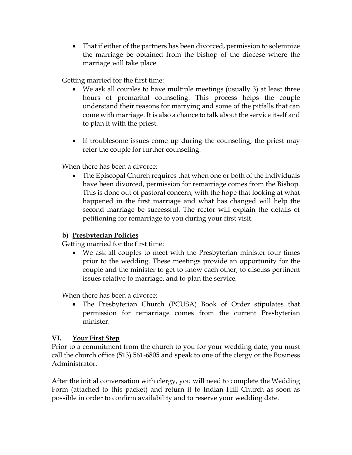That if either of the partners has been divorced, permission to solemnize the marriage be obtained from the bishop of the diocese where the marriage will take place.

Getting married for the first time:

- We ask all couples to have multiple meetings (usually 3) at least three hours of premarital counseling. This process helps the couple understand their reasons for marrying and some of the pitfalls that can come with marriage. It is also a chance to talk about the service itself and to plan it with the priest.
- If troublesome issues come up during the counseling, the priest may refer the couple for further counseling.

When there has been a divorce:

 The Episcopal Church requires that when one or both of the individuals have been divorced, permission for remarriage comes from the Bishop. This is done out of pastoral concern, with the hope that looking at what happened in the first marriage and what has changed will help the second marriage be successful. The rector will explain the details of petitioning for remarriage to you during your first visit.

#### **b) Presbyterian Policies**

Getting married for the first time:

 We ask all couples to meet with the Presbyterian minister four times prior to the wedding. These meetings provide an opportunity for the couple and the minister to get to know each other, to discuss pertinent issues relative to marriage, and to plan the service.

When there has been a divorce:

 The Presbyterian Church (PCUSA) Book of Order stipulates that permission for remarriage comes from the current Presbyterian minister.

#### **VI. Your First Step**

Prior to a commitment from the church to you for your wedding date, you must call the church office (513) 561-6805 and speak to one of the clergy or the Business Administrator.

After the initial conversation with clergy, you will need to complete the Wedding Form (attached to this packet) and return it to Indian Hill Church as soon as possible in order to confirm availability and to reserve your wedding date.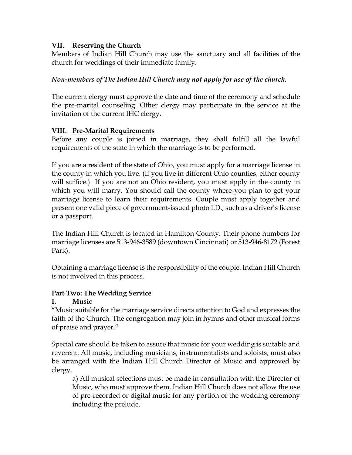#### **VII. Reserving the Church**

Members of Indian Hill Church may use the sanctuary and all facilities of the church for weddings of their immediate family.

### *Non-members of The Indian Hill Church may not apply for use of the church.*

The current clergy must approve the date and time of the ceremony and schedule the pre-marital counseling. Other clergy may participate in the service at the invitation of the current IHC clergy.

### **VIII. Pre-Marital Requirements**

Before any couple is joined in marriage, they shall fulfill all the lawful requirements of the state in which the marriage is to be performed.

If you are a resident of the state of Ohio, you must apply for a marriage license in the county in which you live. (If you live in different Ohio counties, either county will suffice.) If you are not an Ohio resident, you must apply in the county in which you will marry. You should call the county where you plan to get your marriage license to learn their requirements. Couple must apply together and present one valid piece of government-issued photo I.D., such as a driver's license or a passport.

The Indian Hill Church is located in Hamilton County. Their phone numbers for marriage licenses are 513-946-3589 (downtown Cincinnati) or 513-946-8172 (Forest Park).

Obtaining a marriage license is the responsibility of the couple. Indian Hill Church is not involved in this process.

# **Part Two: The Wedding Service**

# **I. Music**

"Music suitable for the marriage service directs attention to God and expresses the faith of the Church. The congregation may join in hymns and other musical forms of praise and prayer."

Special care should be taken to assure that music for your wedding is suitable and reverent. All music, including musicians, instrumentalists and soloists, must also be arranged with the Indian Hill Church Director of Music and approved by clergy.

a) All musical selections must be made in consultation with the Director of Music, who must approve them. Indian Hill Church does not allow the use of pre-recorded or digital music for any portion of the wedding ceremony including the prelude.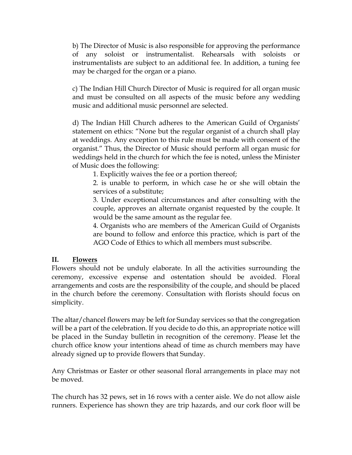b) The Director of Music is also responsible for approving the performance of any soloist or instrumentalist. Rehearsals with soloists or instrumentalists are subject to an additional fee. In addition, a tuning fee may be charged for the organ or a piano.

c) The Indian Hill Church Director of Music is required for all organ music and must be consulted on all aspects of the music before any wedding music and additional music personnel are selected.

d) The Indian Hill Church adheres to the American Guild of Organists' statement on ethics: "None but the regular organist of a church shall play at weddings. Any exception to this rule must be made with consent of the organist." Thus, the Director of Music should perform all organ music for weddings held in the church for which the fee is noted, unless the Minister of Music does the following:

1. Explicitly waives the fee or a portion thereof;

2. is unable to perform, in which case he or she will obtain the services of a substitute;

3. Under exceptional circumstances and after consulting with the couple, approves an alternate organist requested by the couple. It would be the same amount as the regular fee.

4. Organists who are members of the American Guild of Organists are bound to follow and enforce this practice, which is part of the AGO Code of Ethics to which all members must subscribe.

#### **II. Flowers**

Flowers should not be unduly elaborate. In all the activities surrounding the ceremony, excessive expense and ostentation should be avoided. Floral arrangements and costs are the responsibility of the couple, and should be placed in the church before the ceremony. Consultation with florists should focus on simplicity.

The altar/chancel flowers may be left for Sunday services so that the congregation will be a part of the celebration. If you decide to do this, an appropriate notice will be placed in the Sunday bulletin in recognition of the ceremony. Please let the church office know your intentions ahead of time as church members may have already signed up to provide flowers that Sunday.

Any Christmas or Easter or other seasonal floral arrangements in place may not be moved.

The church has 32 pews, set in 16 rows with a center aisle. We do not allow aisle runners. Experience has shown they are trip hazards, and our cork floor will be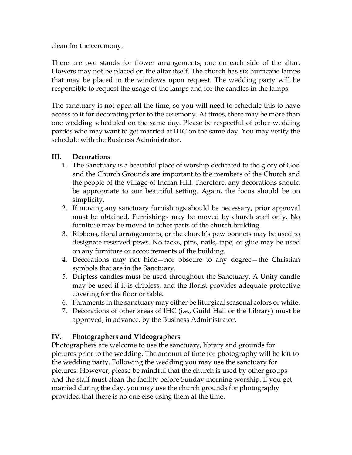clean for the ceremony.

There are two stands for flower arrangements, one on each side of the altar. Flowers may not be placed on the altar itself. The church has six hurricane lamps that may be placed in the windows upon request. The wedding party will be responsible to request the usage of the lamps and for the candles in the lamps.

The sanctuary is not open all the time, so you will need to schedule this to have access to it for decorating prior to the ceremony. At times, there may be more than one wedding scheduled on the same day. Please be respectful of other wedding parties who may want to get married at IHC on the same day. You may verify the schedule with the Business Administrator.

#### **III. Decorations**

- 1. The Sanctuary is a beautiful place of worship dedicated to the glory of God and the Church Grounds are important to the members of the Church and the people of the Village of Indian Hill. Therefore, any decorations should be appropriate to our beautiful setting. Again, the focus should be on simplicity.
- 2. If moving any sanctuary furnishings should be necessary, prior approval must be obtained. Furnishings may be moved by church staff only. No furniture may be moved in other parts of the church building.
- 3. Ribbons, floral arrangements, or the church's pew bonnets may be used to designate reserved pews. No tacks, pins, nails, tape, or glue may be used on any furniture or accoutrements of the building.
- 4. Decorations may not hide—nor obscure to any degree—the Christian symbols that are in the Sanctuary.
- 5. Dripless candles must be used throughout the Sanctuary. A Unity candle may be used if it is dripless, and the florist provides adequate protective covering for the floor or table.
- 6. Paraments in the sanctuary may either be liturgical seasonal colors or white.
- 7. Decorations of other areas of IHC (i.e., Guild Hall or the Library) must be approved, in advance, by the Business Administrator.

#### **IV. Photographers and Videographers**

Photographers are welcome to use the sanctuary, library and grounds for pictures prior to the wedding. The amount of time for photography will be left to the wedding party. Following the wedding you may use the sanctuary for pictures. However, please be mindful that the church is used by other groups and the staff must clean the facility before Sunday morning worship. If you get married during the day, you may use the church grounds for photography provided that there is no one else using them at the time.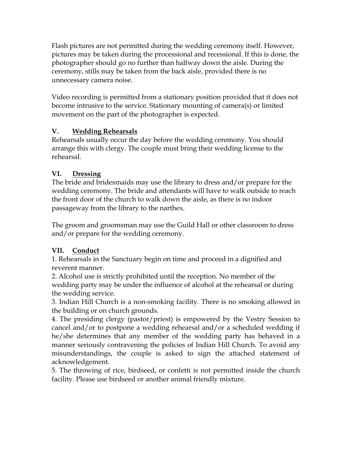Flash pictures are not permitted during the wedding ceremony itself. However, pictures may be taken during the processional and recessional. If this is done, the photographer should go no further than halfway down the aisle. During the ceremony, stills may be taken from the back aisle, provided there is no unnecessary camera noise.

Video recording is permitted from a stationary position provided that it does not become intrusive to the service. Stationary mounting of camera(s) or limited movement on the part of the photographer is expected.

# **V. Wedding Rehearsals**

Rehearsals usually occur the day before the wedding ceremony. You should arrange this with clergy. The couple must bring their wedding license to the rehearsal.

# **VI. Dressing**

The bride and bridesmaids may use the library to dress and/or prepare for the wedding ceremony. The bride and attendants will have to walk outside to reach the front door of the church to walk down the aisle, as there is no indoor passageway from the library to the narthex.

The groom and groomsman may use the Guild Hall or other classroom to dress and/or prepare for the wedding ceremony.

# **VII. Conduct**

1. Rehearsals in the Sanctuary begin on time and proceed in a dignified and reverent manner.

2. Alcohol use is strictly prohibited until the reception. No member of the wedding party may be under the influence of alcohol at the rehearsal or during the wedding service.

3. Indian Hill Church is a non-smoking facility. There is no smoking allowed in the building or on church grounds.

4. The presiding clergy (pastor/priest) is empowered by the Vestry Session to cancel and/or to postpone a wedding rehearsal and/or a scheduled wedding if he/she determines that any member of the wedding party has behaved in a manner seriously contravening the policies of Indian Hill Church. To avoid any misunderstandings, the couple is asked to sign the attached statement of acknowledgement.

5. The throwing of rice, birdseed, or confetti is not permitted inside the church facility. Please use birdseed or another animal friendly mixture.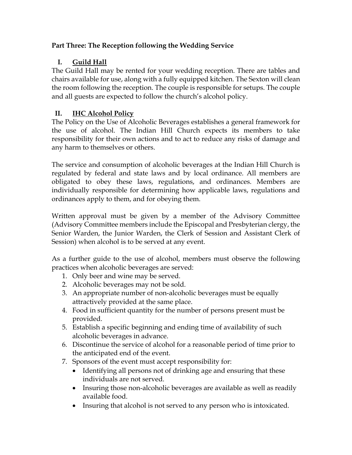# **Part Three: The Reception following the Wedding Service**

# **I. Guild Hall**

The Guild Hall may be rented for your wedding reception. There are tables and chairs available for use, along with a fully equipped kitchen. The Sexton will clean the room following the reception. The couple is responsible for setups. The couple and all guests are expected to follow the church's alcohol policy.

# **II. IHC Alcohol Policy**

The Policy on the Use of Alcoholic Beverages establishes a general framework for the use of alcohol. The Indian Hill Church expects its members to take responsibility for their own actions and to act to reduce any risks of damage and any harm to themselves or others.

The service and consumption of alcoholic beverages at the Indian Hill Church is regulated by federal and state laws and by local ordinance. All members are obligated to obey these laws, regulations, and ordinances. Members are individually responsible for determining how applicable laws, regulations and ordinances apply to them, and for obeying them.

Written approval must be given by a member of the Advisory Committee (Advisory Committee members include the Episcopal and Presbyterian clergy, the Senior Warden, the Junior Warden, the Clerk of Session and Assistant Clerk of Session) when alcohol is to be served at any event.

As a further guide to the use of alcohol, members must observe the following practices when alcoholic beverages are served:

- 1. Only beer and wine may be served.
- 2. Alcoholic beverages may not be sold.
- 3. An appropriate number of non-alcoholic beverages must be equally attractively provided at the same place.
- 4. Food in sufficient quantity for the number of persons present must be provided.
- 5. Establish a specific beginning and ending time of availability of such alcoholic beverages in advance.
- 6. Discontinue the service of alcohol for a reasonable period of time prior to the anticipated end of the event.
- 7. Sponsors of the event must accept responsibility for:
	- Identifying all persons not of drinking age and ensuring that these individuals are not served.
	- Insuring those non-alcoholic beverages are available as well as readily available food.
	- Insuring that alcohol is not served to any person who is intoxicated.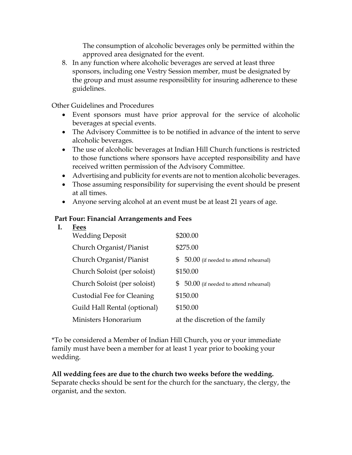The consumption of alcoholic beverages only be permitted within the approved area designated for the event.

8. In any function where alcoholic beverages are served at least three sponsors, including one Vestry Session member, must be designated by the group and must assume responsibility for insuring adherence to these guidelines.

Other Guidelines and Procedures

- Event sponsors must have prior approval for the service of alcoholic beverages at special events.
- The Advisory Committee is to be notified in advance of the intent to serve alcoholic beverages.
- The use of alcoholic beverages at Indian Hill Church functions is restricted to those functions where sponsors have accepted responsibility and have received written permission of the Advisory Committee.
- Advertising and publicity for events are not to mention alcoholic beverages.
- Those assuming responsibility for supervising the event should be present at all times.
- Anyone serving alcohol at an event must be at least 21 years of age.

#### **Part Four: Financial Arrangements and Fees**

#### **I. Fees**

| - - - -<br><b>Wedding Deposit</b> | \$200.00                                      |
|-----------------------------------|-----------------------------------------------|
| Church Organist/Pianist           | \$275.00                                      |
| Church Organist/Pianist           | \$<br>$50.00$ (if needed to attend rehearsal) |
| Church Soloist (per soloist)      | \$150.00                                      |
| Church Soloist (per soloist)      | $$50.00$ (if needed to attend rehearsal)      |
| Custodial Fee for Cleaning        | \$150.00                                      |
| Guild Hall Rental (optional)      | \$150.00                                      |
| Ministers Honorarium              | at the discretion of the family               |

\*To be considered a Member of Indian Hill Church, you or your immediate family must have been a member for at least 1 year prior to booking your wedding.

#### **All wedding fees are due to the church two weeks before the wedding.**

Separate checks should be sent for the church for the sanctuary, the clergy, the organist, and the sexton.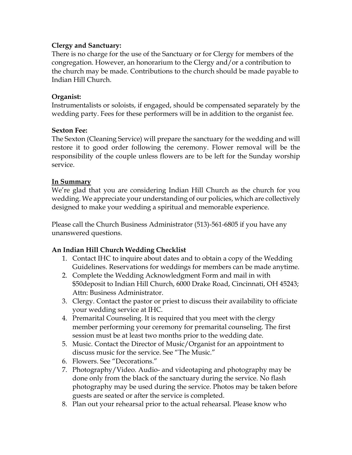#### **Clergy and Sanctuary:**

There is no charge for the use of the Sanctuary or for Clergy for members of the congregation. However, an honorarium to the Clergy and/or a contribution to the church may be made. Contributions to the church should be made payable to Indian Hill Church.

#### **Organist:**

Instrumentalists or soloists, if engaged, should be compensated separately by the wedding party. Fees for these performers will be in addition to the organist fee.

#### **Sexton Fee:**

The Sexton (Cleaning Service) will prepare the sanctuary for the wedding and will restore it to good order following the ceremony. Flower removal will be the responsibility of the couple unless flowers are to be left for the Sunday worship service.

### **In Summary**

We're glad that you are considering Indian Hill Church as the church for you wedding. We appreciate your understanding of our policies, which are collectively designed to make your wedding a spiritual and memorable experience.

Please call the Church Business Administrator (513)-561-6805 if you have any unanswered questions.

# **An Indian Hill Church Wedding Checklist**

- 1. Contact IHC to inquire about dates and to obtain a copy of the Wedding Guidelines. Reservations for weddings for members can be made anytime.
- 2. Complete the Wedding Acknowledgment Form and mail in with \$50deposit to Indian Hill Church, 6000 Drake Road, Cincinnati, OH 45243; Attn: Business Administrator.
- 3. Clergy. Contact the pastor or priest to discuss their availability to officiate your wedding service at IHC.
- 4. Premarital Counseling. It is required that you meet with the clergy member performing your ceremony for premarital counseling. The first session must be at least two months prior to the wedding date.
- 5. Music. Contact the Director of Music/Organist for an appointment to discuss music for the service. See "The Music."
- 6. Flowers. See "Decorations."
- 7. Photography/Video. Audio- and videotaping and photography may be done only from the black of the sanctuary during the service. No flash photography may be used during the service. Photos may be taken before guests are seated or after the service is completed.
- 8. Plan out your rehearsal prior to the actual rehearsal. Please know who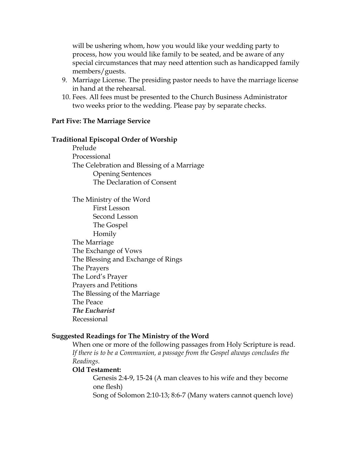will be ushering whom, how you would like your wedding party to process, how you would like family to be seated, and be aware of any special circumstances that may need attention such as handicapped family members/guests.

- 9. Marriage License. The presiding pastor needs to have the marriage license in hand at the rehearsal.
- 10. Fees. All fees must be presented to the Church Business Administrator two weeks prior to the wedding. Please pay by separate checks.

#### **Part Five: The Marriage Service**

#### **Traditional Episcopal Order of Worship**

Prelude Processional The Celebration and Blessing of a Marriage Opening Sentences The Declaration of Consent

The Ministry of the Word First Lesson Second Lesson The Gospel Homily The Marriage The Exchange of Vows The Blessing and Exchange of Rings The Prayers The Lord's Prayer Prayers and Petitions The Blessing of the Marriage The Peace *The Eucharist*  Recessional

#### **Suggested Readings for The Ministry of the Word**

When one or more of the following passages from Holy Scripture is read. If there is to be a Communion, a passage from the Gospel always concludes the *Readings.*

#### **Old Testament:**

Genesis 2:4-9, 15-24 (A man cleaves to his wife and they become one flesh)

Song of Solomon 2:10-13; 8:6-7 (Many waters cannot quench love)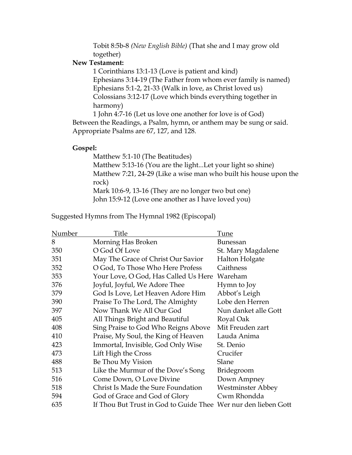Tobit 8:5b-8 *(New English Bible)* (That she and I may grow old together)

#### **New Testament:**

 1 Corinthians 13:1-13 (Love is patient and kind) Ephesians 3:14-19 (The Father from whom ever family is named) Ephesians 5:1-2, 21-33 (Walk in love, as Christ loved us) Colossians 3:12-17 (Love which binds everything together in harmony)

1 John 4:7-16 (Let us love one another for love is of God) Between the Readings, a Psalm, hymn, or anthem may be sung or said. Appropriate Psalms are 67, 127, and 128.

#### **Gospel:**

Matthew 5:1-10 (The Beatitudes) Matthew 5:13-16 (You are the light...Let your light so shine) Matthew 7:21, 24-29 (Like a wise man who built his house upon the rock) Mark 10:6-9, 13-16 (They are no longer two but one) John 15:9-12 (Love one another as I have loved you)

Suggested Hymns from The Hymnal 1982 (Episcopal)

| Number | Title                                                          | Tune                     |
|--------|----------------------------------------------------------------|--------------------------|
| 8      | Morning Has Broken                                             | <b>Bunessan</b>          |
| 350    | O God Of Love                                                  | St. Mary Magdalene       |
| 351    | May The Grace of Christ Our Savior                             | Halton Holgate           |
| 352    | O God, To Those Who Here Profess                               | Caithness                |
| 353    | Your Love, O God, Has Called Us Here Wareham                   |                          |
| 376    | Joyful, Joyful, We Adore Thee                                  | Hymn to Joy              |
| 379    | God Is Love, Let Heaven Adore Him                              | Abbot's Leigh            |
| 390    | Praise To The Lord, The Almighty                               | Lobe den Herren          |
| 397    | Now Thank We All Our God                                       | Nun danket alle Gott     |
| 405    | All Things Bright and Beautiful                                | Royal Oak                |
| 408    | Sing Praise to God Who Reigns Above                            | Mit Freuden zart         |
| 410    | Praise, My Soul, the King of Heaven                            | Lauda Anima              |
| 423    | Immortal, Invisible, God Only Wise                             | St. Denio                |
| 473    | Lift High the Cross                                            | Crucifer                 |
| 488    | Be Thou My Vision                                              | Slane                    |
| 513    | Like the Murmur of the Dove's Song                             | <b>Bridegroom</b>        |
| 516    | Come Down, O Love Divine                                       | Down Ampney              |
| 518    | Christ Is Made the Sure Foundation                             | <b>Westminster Abbey</b> |
| 594    | God of Grace and God of Glory                                  | Cwm Rhondda              |
| 635    | If Thou But Trust in God to Guide Thee Wer nur den lieben Gott |                          |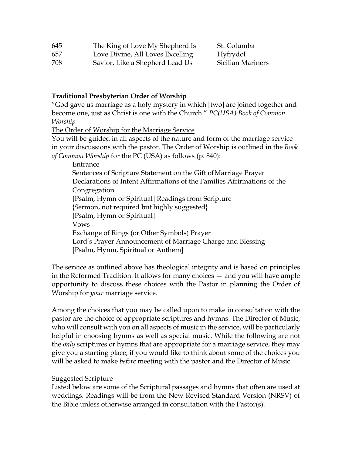| 645 | The King of Love My Shepherd Is |
|-----|---------------------------------|
|-----|---------------------------------|

St. Columba 657 Love Divine, All Loves Excelling Hyfrydol

708 Savior, Like a Shepherd Lead Us Sicilian Mariners

#### **Traditional Presbyterian Order of Worship**

"God gave us marriage as a holy mystery in which [two] are joined together and become one, just as Christ is one with the Church." *PC(USA) Book of Common Worship* 

The Order of Worship for the Marriage Service

You will be guided in all aspects of the nature and form of the marriage service in your discussions with the pastor. The Order of Worship is outlined in the *Book of Common Worship* for the PC (USA) as follows (p. 840):

Entrance Sentences of Scripture Statement on the Gift of Marriage Prayer Declarations of Intent Affirmations of the Families Affirmations of the Congregation [Psalm, Hymn or Spiritual] Readings from Scripture {Sermon, not required but highly suggested} [Psalm, Hymn or Spiritual] Vows Exchange of Rings (or Other Symbols) Prayer Lord's Prayer Announcement of Marriage Charge and Blessing [Psalm, Hymn, Spiritual or Anthem]

The service as outlined above has theological integrity and is based on principles in the Reformed Tradition. It allows for many choices — and you will have ample opportunity to discuss these choices with the Pastor in planning the Order of Worship for *your* marriage service.

Among the choices that you may be called upon to make in consultation with the pastor are the choice of appropriate scriptures and hymns. The Director of Music, who will consult with you on all aspects of music in the service, will be particularly helpful in choosing hymns as well as special music. While the following are not the *only* scriptures or hymns that are appropriate for a marriage service, they may give you a starting place, if you would like to think about some of the choices you will be asked to make *before* meeting with the pastor and the Director of Music.

#### Suggested Scripture

Listed below are some of the Scriptural passages and hymns that often are used at weddings. Readings will be from the New Revised Standard Version (NRSV) of the Bible unless otherwise arranged in consultation with the Pastor(s).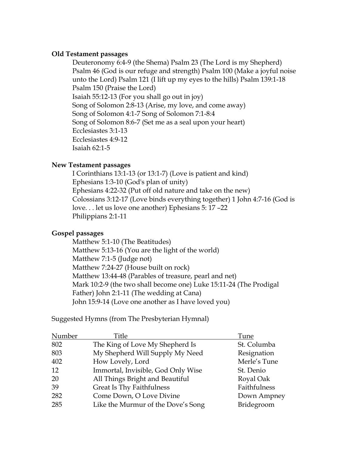#### **Old Testament passages**

Deuteronomy 6:4-9 (the Shema) Psalm 23 (The Lord is my Shepherd) Psalm 46 (God is our refuge and strength) Psalm 100 (Make a joyful noise unto the Lord) Psalm 121 (I lift up my eyes to the hills) Psalm 139:1-18 Psalm 150 (Praise the Lord) Isaiah 55:12-13 (For you shall go out in joy) Song of Solomon 2:8-13 (Arise, my love, and come away) Song of Solomon 4:1-7 Song of Solomon 7:1-8:4 Song of Solomon 8:6-7 (Set me as a seal upon your heart) Ecclesiastes 3:1-13 Ecclesiastes 4:9-12 Isaiah 62:1-5

#### **New Testament passages**

I Corinthians 13:1-13 (or 13:1-7) (Love is patient and kind) Ephesians 1:3-10 (God's plan of unity) Ephesians 4:22-32 (Put off old nature and take on the new) Colossians 3:12-17 (Love binds everything together) 1 John 4:7-16 (God is love. . . let us love one another) Ephesians 5: 17 –22 Philippians 2:1-11

#### **Gospel passages**

Matthew 5:1-10 (The Beatitudes) Matthew 5:13-16 (You are the light of the world) Matthew 7:1-5 (Judge not) Matthew 7:24-27 (House built on rock) Matthew 13:44-48 (Parables of treasure, pearl and net) Mark 10:2-9 (the two shall become one) Luke 15:11-24 (The Prodigal Father) John 2:1-11 (The wedding at Cana) John 15:9-14 (Love one another as I have loved you)

Suggested Hymns (from The Presbyterian Hymnal)

| Number | Title                              | Tune         |
|--------|------------------------------------|--------------|
| 802    | The King of Love My Shepherd Is    | St. Columba  |
| 803    | My Shepherd Will Supply My Need    | Resignation  |
| 402    | How Lovely, Lord                   | Merle's Tune |
| 12     | Immortal, Invisible, God Only Wise | St. Denio    |
| 20     | All Things Bright and Beautiful    | Royal Oak    |
| 39     | <b>Great Is Thy Faithfulness</b>   | Faithfulness |
| 282    | Come Down, O Love Divine           | Down Ampney  |
| 285    | Like the Murmur of the Dove's Song | Bridegroom   |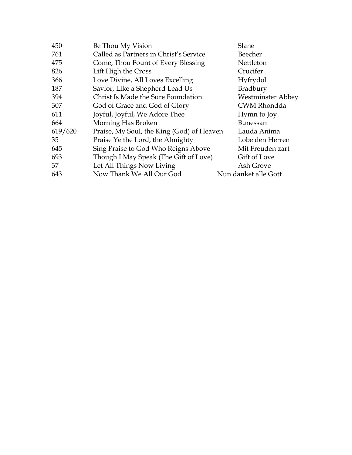| 450     | Be Thou My Vision                         | Slane                    |
|---------|-------------------------------------------|--------------------------|
| 761     | Called as Partners in Christ's Service    | Beecher                  |
| 475     | Come, Thou Fount of Every Blessing        | Nettleton                |
| 826     | Lift High the Cross                       | Crucifer                 |
| 366     | Love Divine, All Loves Excelling          | Hyfrydol                 |
| 187     | Savior, Like a Shepherd Lead Us           | Bradbury                 |
| 394     | Christ Is Made the Sure Foundation        | <b>Westminster Abbey</b> |
| 307     | God of Grace and God of Glory             | <b>CWM Rhondda</b>       |
| 611     | Joyful, Joyful, We Adore Thee             | Hymn to Joy              |
| 664     | Morning Has Broken                        | <b>Bunessan</b>          |
| 619/620 | Praise, My Soul, the King (God) of Heaven | Lauda Anima              |
| 35      | Praise Ye the Lord, the Almighty          | Lobe den Herren          |
| 645     | Sing Praise to God Who Reigns Above       | Mit Freuden zart         |
| 693     | Though I May Speak (The Gift of Love)     | Gift of Love             |
| 37      | Let All Things Now Living                 | Ash Grove                |
| 643     | Now Thank We All Our God                  | Nun danket alle Gott     |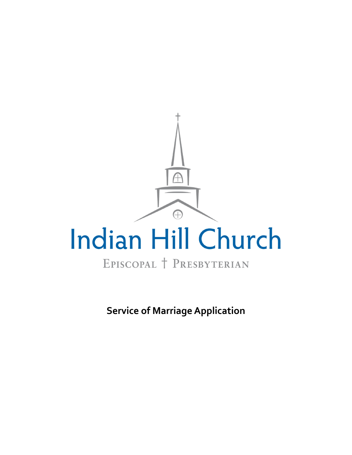

**Service of Marriage Application**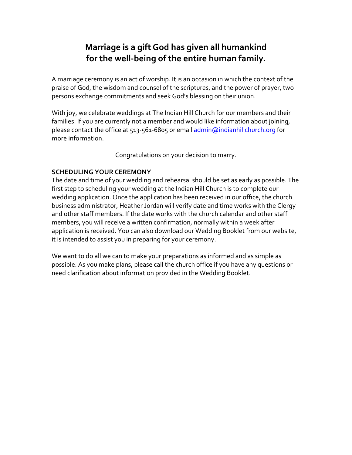# **Marriage is a gift God has given all humankind for the well‐being of the entire human family.**

A marriage ceremony is an act of worship. It is an occasion in which the context of the praise of God, the wisdom and counsel of the scriptures, and the power of prayer, two persons exchange commitments and seek God's blessing on their union.

With joy, we celebrate weddings at The Indian Hill Church for our members and their families. If you are currently not a member and would like information about joining, please contact the office at 513-561-6805 or email admin@indianhillchurch.org for more information.

Congratulations on your decision to marry.

### **SCHEDULING YOUR CEREMONY**

The date and time of your wedding and rehearsal should be set as early as possible. The first step to scheduling your wedding at the Indian Hill Church is to complete our wedding application. Once the application has been received in our office, the church business administrator, Heather Jordan will verify date and time works with the Clergy and other staff members. If the date works with the church calendar and other staff members, you will receive a written confirmation, normally within a week after application is received. You can also download our Wedding Booklet from our website, it is intended to assist you in preparing for your ceremony.

We want to do all we can to make your preparations as informed and as simple as possible. As you make plans, please call the church office if you have any questions or need clarification about information provided in the Wedding Booklet.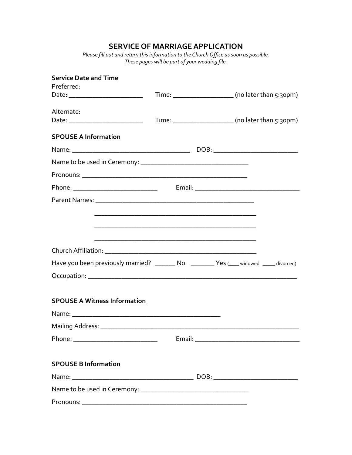### **SERVICE OF MARRIAGE APPLICATION**

*Please fill out and return this information to the Church Office as soon as possible. These pages will be part of your wedding file.* 

| <b>Service Date and Time</b>                                                         |  |  |                                                      |
|--------------------------------------------------------------------------------------|--|--|------------------------------------------------------|
| Preferred:                                                                           |  |  |                                                      |
|                                                                                      |  |  | Time: _______________________ (no later than 5:30pm) |
| Alternate:                                                                           |  |  |                                                      |
| Date: ____________________________                                                   |  |  | Time: _______________________ (no later than 5:30pm) |
| <b>SPOUSE A Information</b>                                                          |  |  |                                                      |
|                                                                                      |  |  |                                                      |
|                                                                                      |  |  |                                                      |
|                                                                                      |  |  |                                                      |
|                                                                                      |  |  |                                                      |
|                                                                                      |  |  |                                                      |
|                                                                                      |  |  |                                                      |
|                                                                                      |  |  |                                                      |
|                                                                                      |  |  |                                                      |
|                                                                                      |  |  |                                                      |
| Have you been previously married? _______ No _______ Yes (___ widowed ____ divorced) |  |  |                                                      |
|                                                                                      |  |  |                                                      |
|                                                                                      |  |  |                                                      |
| <b>SPOUSE A Witness Information</b>                                                  |  |  |                                                      |
|                                                                                      |  |  |                                                      |
|                                                                                      |  |  |                                                      |
|                                                                                      |  |  |                                                      |
|                                                                                      |  |  |                                                      |
| <b>SPOUSE B Information</b>                                                          |  |  |                                                      |
|                                                                                      |  |  |                                                      |
|                                                                                      |  |  |                                                      |
|                                                                                      |  |  |                                                      |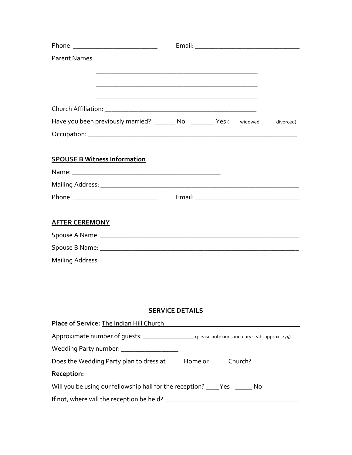| Church Affiliation:                                                                                 |
|-----------------------------------------------------------------------------------------------------|
| Have you been previously married? _______ No _______ Yes (___ widowed ____ divorced)                |
|                                                                                                     |
|                                                                                                     |
| <b>SPOUSE B Witness Information</b>                                                                 |
|                                                                                                     |
|                                                                                                     |
|                                                                                                     |
|                                                                                                     |
| <b>AFTER CEREMONY</b>                                                                               |
|                                                                                                     |
|                                                                                                     |
|                                                                                                     |
|                                                                                                     |
|                                                                                                     |
|                                                                                                     |
| <b>SERVICE DETAILS</b>                                                                              |
| Place of Service: The Indian Hill Church <b>Name and Service of Service:</b> The Indian Hill Church |
| Approximate number of guests: __________________(please note our sanctuary seats approx. 275)       |
| Wedding Party number: ___________________                                                           |
| Does the Wedding Party plan to dress at _____Home or ______ Church?                                 |
| Reception:                                                                                          |
| Will you be using our fellowship hall for the reception? ____Yes ______ No                          |

If not, where will the reception be held? \_\_\_\_\_\_\_\_\_\_\_\_\_\_\_\_\_\_\_\_\_\_\_\_\_\_\_\_\_\_\_\_\_\_\_\_\_\_\_\_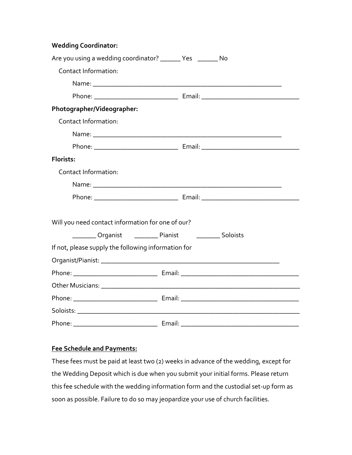**Wedding Coordinator:** 

| Are you using a wedding coordinator? _______ Yes _______ No                      |          |  |
|----------------------------------------------------------------------------------|----------|--|
| <b>Contact Information:</b>                                                      |          |  |
|                                                                                  |          |  |
|                                                                                  |          |  |
| Photographer/Videographer:                                                       |          |  |
| Contact Information:                                                             |          |  |
|                                                                                  |          |  |
|                                                                                  |          |  |
| Florists:                                                                        |          |  |
| <b>Contact Information:</b>                                                      |          |  |
|                                                                                  |          |  |
|                                                                                  |          |  |
| Will you need contact information for one of our?<br>Organist __________ Pianist | Soloists |  |
| If not, please supply the following information for                              |          |  |
|                                                                                  |          |  |
|                                                                                  |          |  |
|                                                                                  |          |  |
|                                                                                  |          |  |
|                                                                                  |          |  |
|                                                                                  |          |  |

#### **Fee Schedule and Payments:**

These fees must be paid at least two (2) weeks in advance of the wedding, except for the Wedding Deposit which is due when you submit your initial forms. Please return this fee schedule with the wedding information form and the custodial set‐up form as soon as possible. Failure to do so may jeopardize your use of church facilities.